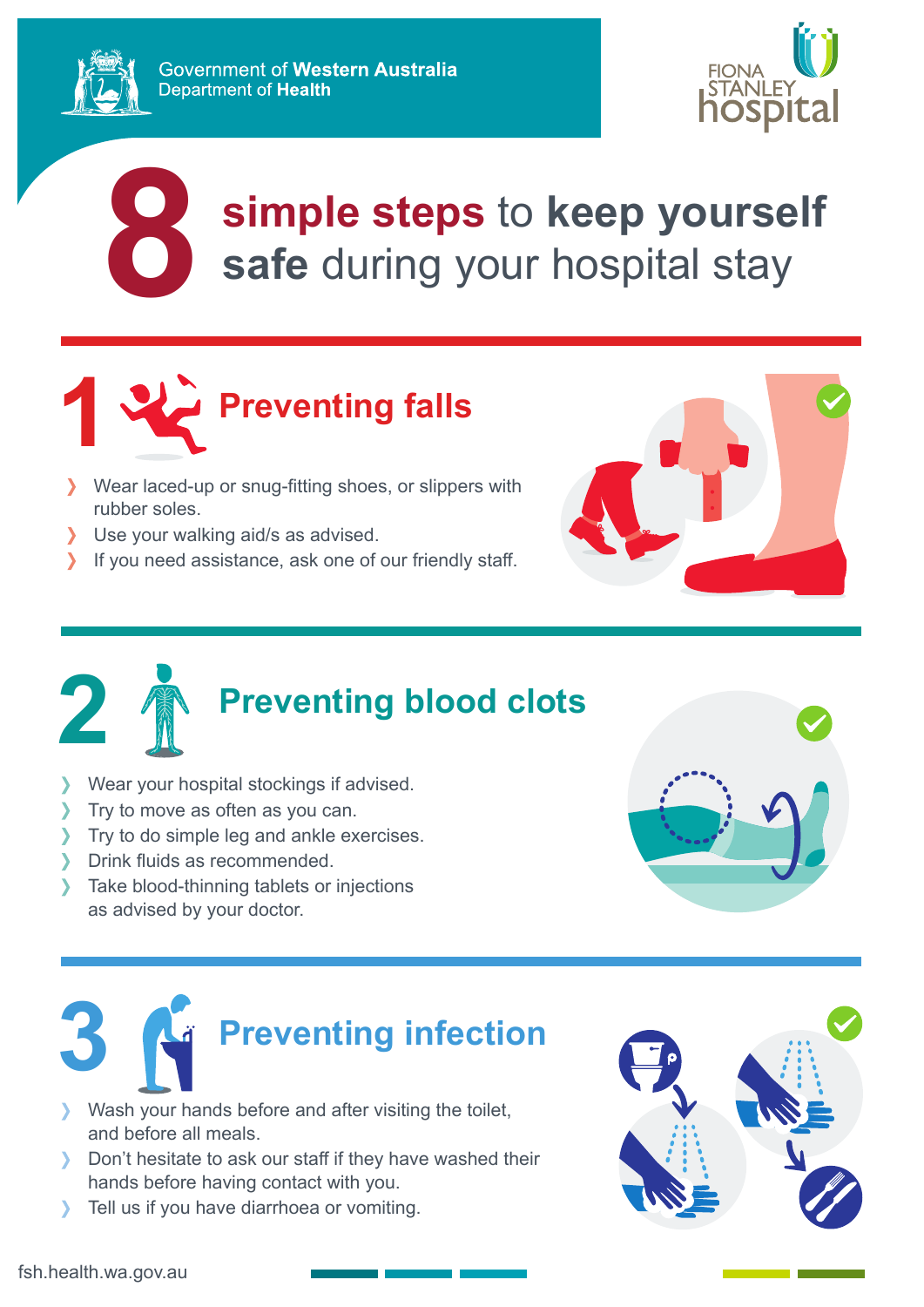

## **simple steps** to **keep yourself** safe during your hospital stay



- Wear laced-up or snug-fitting shoes, or slippers with rubber soles.
- Use your walking aid/s as advised.
- If you need assistance, ask one of our friendly staff.





## **2 Preventing blood clots**

- Wear your hospital stockings if advised.
- Try to move as often as you can.
- Try to do simple leg and ankle exercises.
- Drink fluids as recommended.
- > Take blood-thinning tablets or injections as advised by your doctor.



## **3 Preventing infection**

- Wash your hands before and after visiting the toilet, and before all meals.
- Don't hesitate to ask our staff if they have washed their hands before having contact with you.
- Tell us if you have diarrhoea or vomiting.